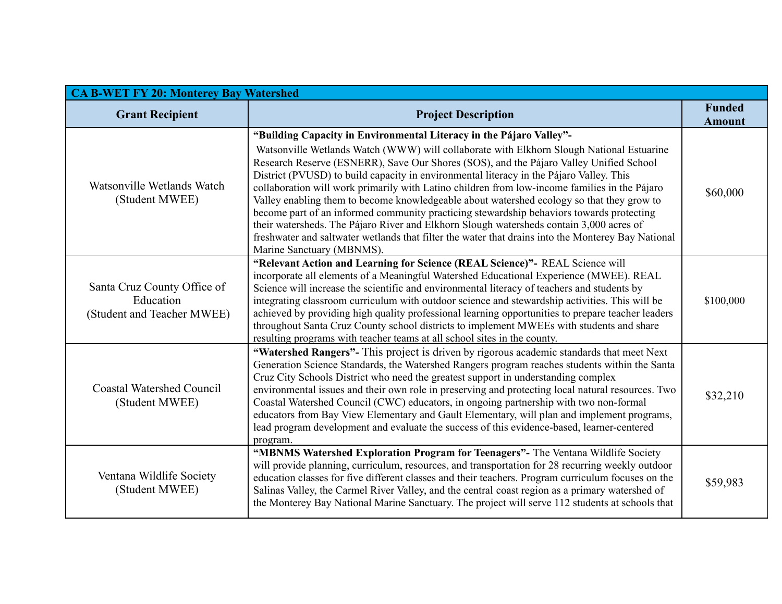| <b>CA B-WET FY 20: Monterey Bay Watershed</b>                          |                                                                                                                                                                                                                                                                                                                                                                                                                                                                                                                                                                                                                                                                                                                                                                                                                                                                              |                                |  |
|------------------------------------------------------------------------|------------------------------------------------------------------------------------------------------------------------------------------------------------------------------------------------------------------------------------------------------------------------------------------------------------------------------------------------------------------------------------------------------------------------------------------------------------------------------------------------------------------------------------------------------------------------------------------------------------------------------------------------------------------------------------------------------------------------------------------------------------------------------------------------------------------------------------------------------------------------------|--------------------------------|--|
| <b>Grant Recipient</b>                                                 | <b>Project Description</b>                                                                                                                                                                                                                                                                                                                                                                                                                                                                                                                                                                                                                                                                                                                                                                                                                                                   | <b>Funded</b><br><b>Amount</b> |  |
| Watsonville Wetlands Watch<br>(Student MWEE)                           | "Building Capacity in Environmental Literacy in the Pájaro Valley"-<br>Watsonville Wetlands Watch (WWW) will collaborate with Elkhorn Slough National Estuarine<br>Research Reserve (ESNERR), Save Our Shores (SOS), and the Pájaro Valley Unified School<br>District (PVUSD) to build capacity in environmental literacy in the Pájaro Valley. This<br>collaboration will work primarily with Latino children from low-income families in the Pájaro<br>Valley enabling them to become knowledgeable about watershed ecology so that they grow to<br>become part of an informed community practicing stewardship behaviors towards protecting<br>their watersheds. The Pájaro River and Elkhorn Slough watersheds contain 3,000 acres of<br>freshwater and saltwater wetlands that filter the water that drains into the Monterey Bay National<br>Marine Sanctuary (MBNMS). | \$60,000                       |  |
| Santa Cruz County Office of<br>Education<br>(Student and Teacher MWEE) | "Relevant Action and Learning for Science (REAL Science)"- REAL Science will<br>incorporate all elements of a Meaningful Watershed Educational Experience (MWEE). REAL<br>Science will increase the scientific and environmental literacy of teachers and students by<br>integrating classroom curriculum with outdoor science and stewardship activities. This will be<br>achieved by providing high quality professional learning opportunities to prepare teacher leaders<br>throughout Santa Cruz County school districts to implement MWEEs with students and share<br>resulting programs with teacher teams at all school sites in the county.                                                                                                                                                                                                                         | \$100,000                      |  |
| <b>Coastal Watershed Council</b><br>(Student MWEE)                     | "Watershed Rangers"- This project is driven by rigorous academic standards that meet Next<br>Generation Science Standards, the Watershed Rangers program reaches students within the Santa<br>Cruz City Schools District who need the greatest support in understanding complex<br>environmental issues and their own role in preserving and protecting local natural resources. Two<br>Coastal Watershed Council (CWC) educators, in ongoing partnership with two non-formal<br>educators from Bay View Elementary and Gault Elementary, will plan and implement programs,<br>lead program development and evaluate the success of this evidence-based, learner-centered<br>program.                                                                                                                                                                                        | \$32,210                       |  |
| Ventana Wildlife Society<br>(Student MWEE)                             | "MBNMS Watershed Exploration Program for Teenagers"- The Ventana Wildlife Society<br>will provide planning, curriculum, resources, and transportation for 28 recurring weekly outdoor<br>education classes for five different classes and their teachers. Program curriculum focuses on the<br>Salinas Valley, the Carmel River Valley, and the central coast region as a primary watershed of<br>the Monterey Bay National Marine Sanctuary. The project will serve 112 students at schools that                                                                                                                                                                                                                                                                                                                                                                            | \$59,983                       |  |